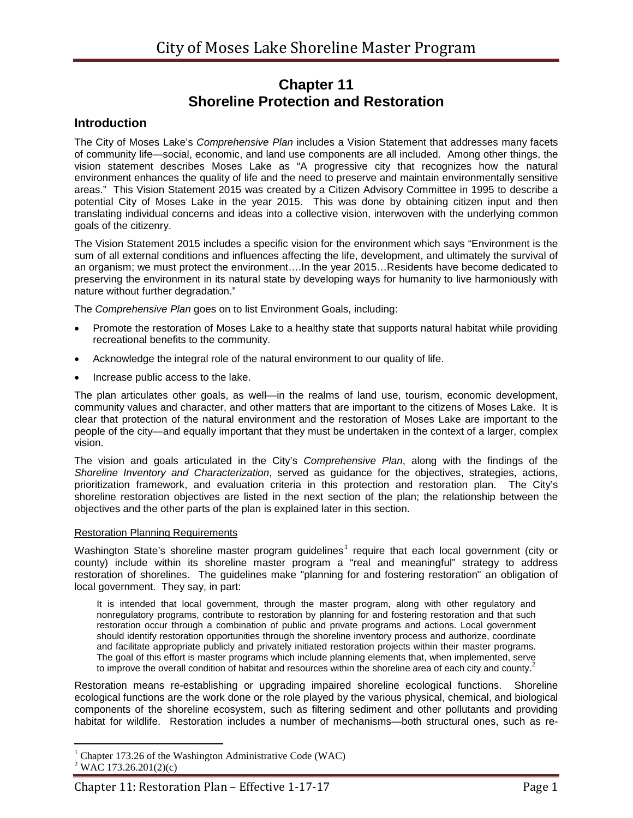# **Chapter 11 Shoreline Protection and Restoration**

### **Introduction**

The City of Moses Lake's *Comprehensive Plan* includes a Vision Statement that addresses many facets of community life—social, economic, and land use components are all included. Among other things, the vision statement describes Moses Lake as "A progressive city that recognizes how the natural environment enhances the quality of life and the need to preserve and maintain environmentally sensitive areas." This Vision Statement 2015 was created by a Citizen Advisory Committee in 1995 to describe a potential City of Moses Lake in the year 2015. This was done by obtaining citizen input and then translating individual concerns and ideas into a collective vision, interwoven with the underlying common goals of the citizenry.

The Vision Statement 2015 includes a specific vision for the environment which says "Environment is the sum of all external conditions and influences affecting the life, development, and ultimately the survival of an organism; we must protect the environment….In the year 2015…Residents have become dedicated to preserving the environment in its natural state by developing ways for humanity to live harmoniously with nature without further degradation."

The *Comprehensive Plan* goes on to list Environment Goals, including:

- Promote the restoration of Moses Lake to a healthy state that supports natural habitat while providing recreational benefits to the community.
- Acknowledge the integral role of the natural environment to our quality of life.
- Increase public access to the lake.

The plan articulates other goals, as well—in the realms of land use, tourism, economic development, community values and character, and other matters that are important to the citizens of Moses Lake. It is clear that protection of the natural environment and the restoration of Moses Lake are important to the people of the city—and equally important that they must be undertaken in the context of a larger, complex vision.

The vision and goals articulated in the City's *Comprehensive Plan*, along with the findings of the *Shoreline Inventory and Characterization*, served as guidance for the objectives, strategies, actions, prioritization framework, and evaluation criteria in this protection and restoration plan. The City's shoreline restoration objectives are listed in the next section of the plan; the relationship between the objectives and the other parts of the plan is explained later in this section.

#### Restoration Planning Requirements

Washington State's shoreline master program guidelines<sup>[1](#page-0-0)</sup> require that each local government (city or county) include within its shoreline master program a "real and meaningful" strategy to address restoration of shorelines. The guidelines make "planning for and fostering restoration" an obligation of local government. They say, in part:

It is intended that local government, through the master program, along with other regulatory and nonregulatory programs, contribute to restoration by planning for and fostering restoration and that such restoration occur through a combination of public and private programs and actions. Local government should identify restoration opportunities through the shoreline inventory process and authorize, coordinate and facilitate appropriate publicly and privately initiated restoration projects within their master programs. The goal of this effort is master programs which include planning elements that, when implemented, serve to improve the overall condition of habitat and resources within the shoreline area of each city and county.<sup>[2](#page-0-1)</sup>

Restoration means re-establishing or upgrading impaired shoreline ecological functions. Shoreline ecological functions are the work done or the role played by the various physical, chemical, and biological components of the shoreline ecosystem, such as filtering sediment and other pollutants and providing habitat for wildlife. Restoration includes a number of mechanisms—both structural ones, such as re-

<span id="page-0-1"></span><span id="page-0-0"></span><sup>&</sup>lt;sup>1</sup> Chapter 173.26 of the Washington Administrative Code (WAC)  $2$  WAC 173.26.201(2)(c)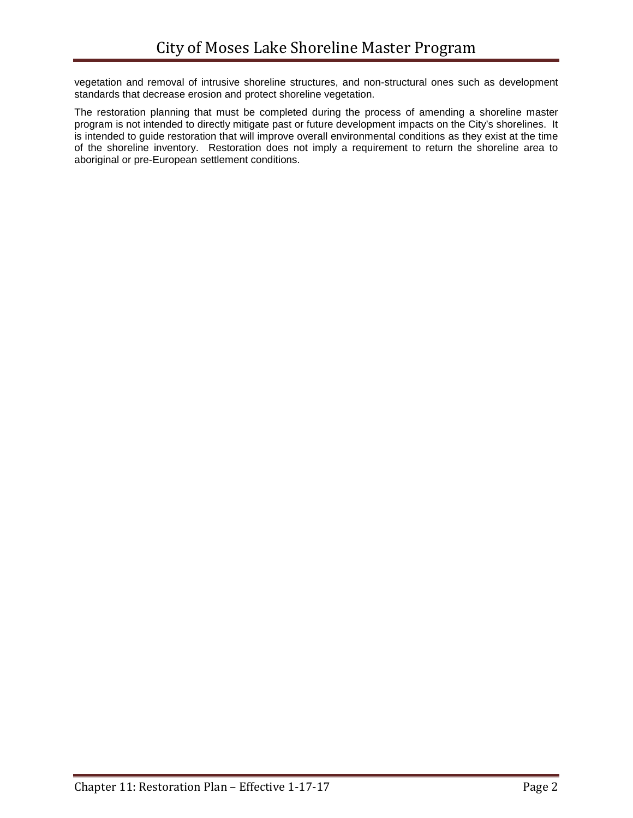vegetation and removal of intrusive shoreline structures, and non-structural ones such as development standards that decrease erosion and protect shoreline vegetation.

The restoration planning that must be completed during the process of amending a shoreline master program is not intended to directly mitigate past or future development impacts on the City's shorelines. It is intended to guide restoration that will improve overall environmental conditions as they exist at the time of the shoreline inventory. Restoration does not imply a requirement to return the shoreline area to aboriginal or pre-European settlement conditions.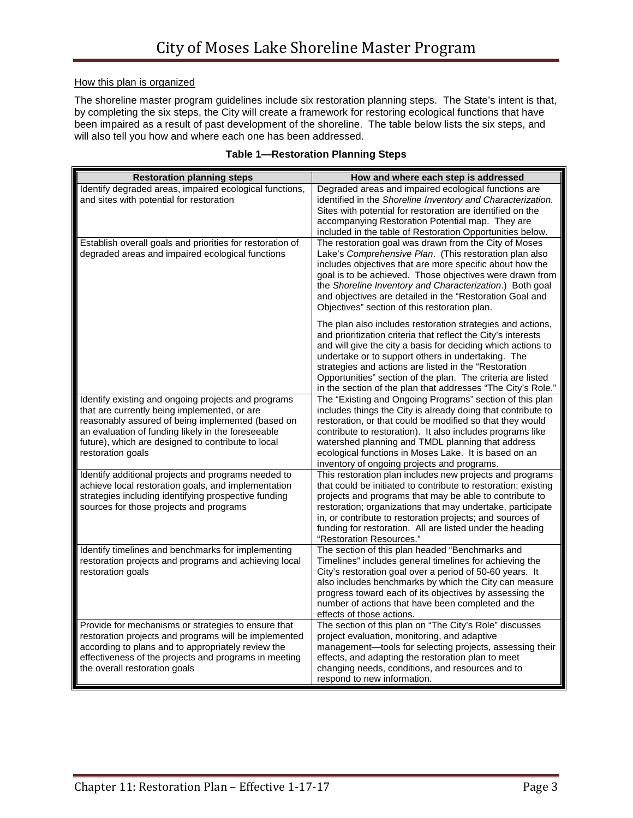### How this plan is organized

The shoreline master program guidelines include six restoration planning steps. The State's intent is that, by completing the six steps, the City will create a framework for restoring ecological functions that have been impaired as a result of past development of the shoreline. The table below lists the six steps, and will also tell you how and where each one has been addressed.

| <b>Restoration planning steps</b>                                                                                                                                                                                                                                                         | How and where each step is addressed                                                                                                                                                                                                                                                                                                                                                                                                      |
|-------------------------------------------------------------------------------------------------------------------------------------------------------------------------------------------------------------------------------------------------------------------------------------------|-------------------------------------------------------------------------------------------------------------------------------------------------------------------------------------------------------------------------------------------------------------------------------------------------------------------------------------------------------------------------------------------------------------------------------------------|
| Identify degraded areas, impaired ecological functions,<br>and sites with potential for restoration                                                                                                                                                                                       | Degraded areas and impaired ecological functions are<br>identified in the Shoreline Inventory and Characterization.<br>Sites with potential for restoration are identified on the<br>accompanying Restoration Potential map. They are<br>included in the table of Restoration Opportunities below.                                                                                                                                        |
| Establish overall goals and priorities for restoration of<br>degraded areas and impaired ecological functions                                                                                                                                                                             | The restoration goal was drawn from the City of Moses<br>Lake's Comprehensive Plan. (This restoration plan also<br>includes objectives that are more specific about how the<br>goal is to be achieved. Those objectives were drawn from<br>the Shoreline Inventory and Characterization.) Both goal<br>and objectives are detailed in the "Restoration Goal and<br>Objectives" section of this restoration plan.                          |
|                                                                                                                                                                                                                                                                                           | The plan also includes restoration strategies and actions,<br>and prioritization criteria that reflect the City's interests<br>and will give the city a basis for deciding which actions to<br>undertake or to support others in undertaking. The<br>strategies and actions are listed in the "Restoration<br>Opportunities" section of the plan. The criteria are listed<br>in the section of the plan that addresses "The City's Role." |
| Identify existing and ongoing projects and programs<br>that are currently being implemented, or are<br>reasonably assured of being implemented (based on<br>an evaluation of funding likely in the foreseeable<br>future), which are designed to contribute to local<br>restoration goals | The "Existing and Ongoing Programs" section of this plan<br>includes things the City is already doing that contribute to<br>restoration, or that could be modified so that they would<br>contribute to restoration). It also includes programs like<br>watershed planning and TMDL planning that address<br>ecological functions in Moses Lake. It is based on an<br>inventory of ongoing projects and programs.                          |
| Identify additional projects and programs needed to<br>achieve local restoration goals, and implementation<br>strategies including identifying prospective funding<br>sources for those projects and programs                                                                             | This restoration plan includes new projects and programs<br>that could be initiated to contribute to restoration; existing<br>projects and programs that may be able to contribute to<br>restoration; organizations that may undertake, participate<br>in, or contribute to restoration projects; and sources of<br>funding for restoration. All are listed under the heading<br>"Restoration Resources."                                 |
| Identify timelines and benchmarks for implementing<br>restoration projects and programs and achieving local<br>restoration goals                                                                                                                                                          | The section of this plan headed "Benchmarks and<br>Timelines" includes general timelines for achieving the<br>City's restoration goal over a period of 50-60 years. It<br>also includes benchmarks by which the City can measure<br>progress toward each of its objectives by assessing the<br>number of actions that have been completed and the<br>effects of those actions.                                                            |
| Provide for mechanisms or strategies to ensure that<br>restoration projects and programs will be implemented<br>according to plans and to appropriately review the<br>effectiveness of the projects and programs in meeting<br>the overall restoration goals                              | The section of this plan on "The City's Role" discusses<br>project evaluation, monitoring, and adaptive<br>management-tools for selecting projects, assessing their<br>effects, and adapting the restoration plan to meet<br>changing needs, conditions, and resources and to<br>respond to new information.                                                                                                                              |

### **Table 1—Restoration Planning Steps**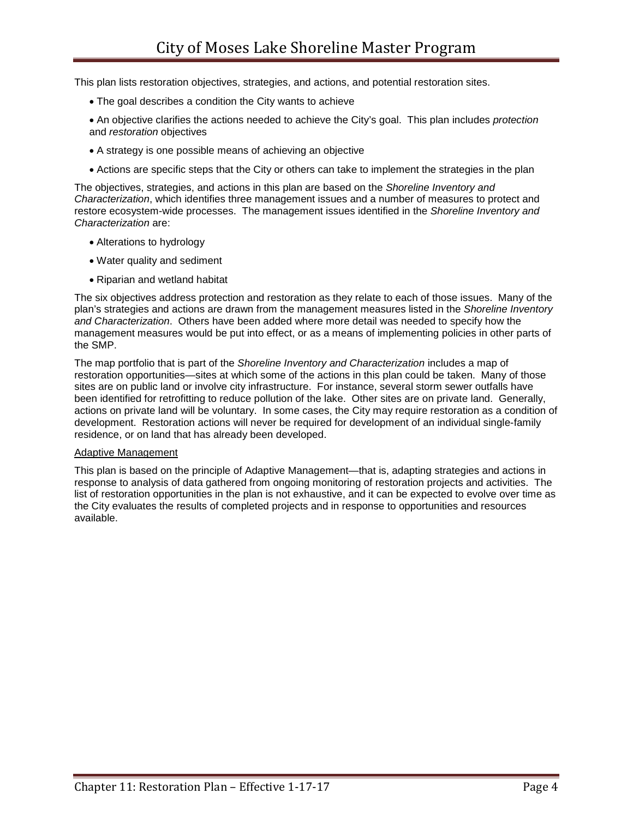This plan lists restoration objectives, strategies, and actions, and potential restoration sites.

- The goal describes a condition the City wants to achieve
- An objective clarifies the actions needed to achieve the City's goal. This plan includes *protection* and *restoration* objectives
- A strategy is one possible means of achieving an objective
- Actions are specific steps that the City or others can take to implement the strategies in the plan

The objectives, strategies, and actions in this plan are based on the *Shoreline Inventory and Characterization*, which identifies three management issues and a number of measures to protect and restore ecosystem-wide processes. The management issues identified in the *Shoreline Inventory and Characterization* are:

- Alterations to hydrology
- Water quality and sediment
- Riparian and wetland habitat

The six objectives address protection and restoration as they relate to each of those issues. Many of the plan's strategies and actions are drawn from the management measures listed in the *Shoreline Inventory and Characterization*. Others have been added where more detail was needed to specify how the management measures would be put into effect, or as a means of implementing policies in other parts of the SMP.

The map portfolio that is part of the *Shoreline Inventory and Characterization* includes a map of restoration opportunities—sites at which some of the actions in this plan could be taken. Many of those sites are on public land or involve city infrastructure. For instance, several storm sewer outfalls have been identified for retrofitting to reduce pollution of the lake. Other sites are on private land. Generally, actions on private land will be voluntary. In some cases, the City may require restoration as a condition of development. Restoration actions will never be required for development of an individual single-family residence, or on land that has already been developed.

#### Adaptive Management

This plan is based on the principle of Adaptive Management—that is, adapting strategies and actions in response to analysis of data gathered from ongoing monitoring of restoration projects and activities. The list of restoration opportunities in the plan is not exhaustive, and it can be expected to evolve over time as the City evaluates the results of completed projects and in response to opportunities and resources available.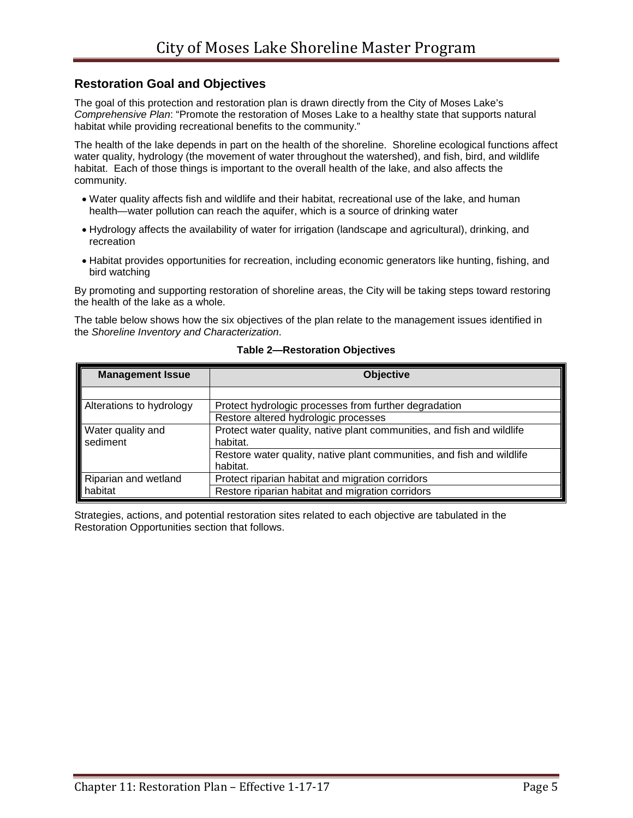### **Restoration Goal and Objectives**

The goal of this protection and restoration plan is drawn directly from the City of Moses Lake's *Comprehensive Plan*: "Promote the restoration of Moses Lake to a healthy state that supports natural habitat while providing recreational benefits to the community."

The health of the lake depends in part on the health of the shoreline. Shoreline ecological functions affect water quality, hydrology (the movement of water throughout the watershed), and fish, bird, and wildlife habitat. Each of those things is important to the overall health of the lake, and also affects the community.

- Water quality affects fish and wildlife and their habitat, recreational use of the lake, and human health—water pollution can reach the aquifer, which is a source of drinking water
- Hydrology affects the availability of water for irrigation (landscape and agricultural), drinking, and recreation
- Habitat provides opportunities for recreation, including economic generators like hunting, fishing, and bird watching

By promoting and supporting restoration of shoreline areas, the City will be taking steps toward restoring the health of the lake as a whole.

The table below shows how the six objectives of the plan relate to the management issues identified in the *Shoreline Inventory and Characterization*.

| <b>Management Issue</b>         | <b>Objective</b>                                                       |
|---------------------------------|------------------------------------------------------------------------|
|                                 |                                                                        |
| Alterations to hydrology        | Protect hydrologic processes from further degradation                  |
|                                 | Restore altered hydrologic processes                                   |
| Water quality and<br>sediment   | Protect water quality, native plant communities, and fish and wildlife |
|                                 | habitat.                                                               |
|                                 | Restore water quality, native plant communities, and fish and wildlife |
|                                 | habitat.                                                               |
|                                 | Protect riparian habitat and migration corridors                       |
| Riparian and wetland<br>habitat | Restore riparian habitat and migration corridors                       |

#### **Table 2—Restoration Objectives**

Strategies, actions, and potential restoration sites related to each objective are tabulated in the Restoration Opportunities section that follows.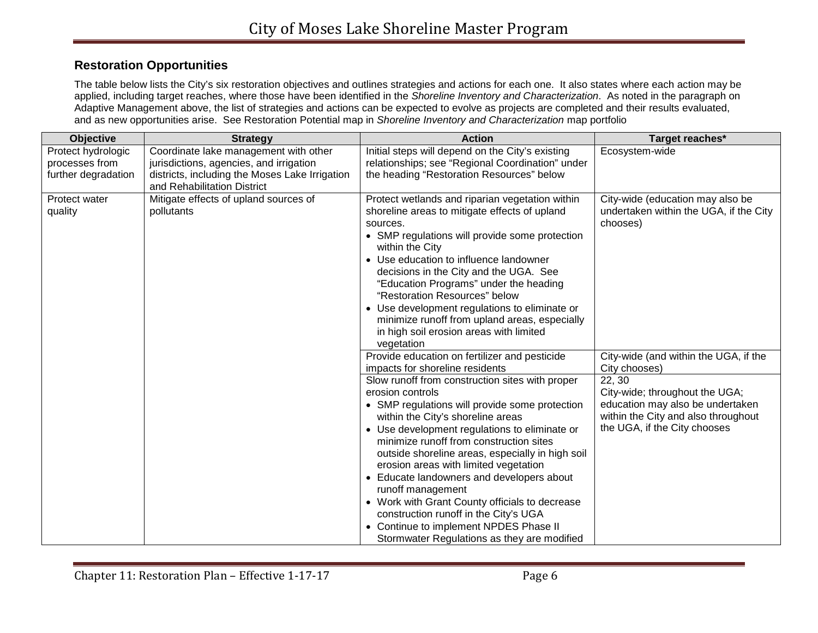## **Restoration Opportunities**

The table below lists the City's six restoration objectives and outlines strategies and actions for each one. It also states where each action may be applied, including target reaches, where those have been identified in the *Shoreline Inventory and Characterization*. As noted in the paragraph on Adaptive Management above, the list of strategies and actions can be expected to evolve as projects are completed and their results evaluated, and as new opportunities arise. See Restoration Potential map in *Shoreline Inventory and Characterization* map portfolio

| Objective           | <b>Strategy</b>                                | <b>Action</b>                                                                       | Target reaches*                                                    |
|---------------------|------------------------------------------------|-------------------------------------------------------------------------------------|--------------------------------------------------------------------|
| Protect hydrologic  | Coordinate lake management with other          | Initial steps will depend on the City's existing                                    | Ecosystem-wide                                                     |
| processes from      | jurisdictions, agencies, and irrigation        | relationships; see "Regional Coordination" under                                    |                                                                    |
| further degradation | districts, including the Moses Lake Irrigation | the heading "Restoration Resources" below                                           |                                                                    |
|                     | and Rehabilitation District                    |                                                                                     |                                                                    |
| Protect water       | Mitigate effects of upland sources of          | Protect wetlands and riparian vegetation within                                     | City-wide (education may also be                                   |
| quality             | pollutants                                     | shoreline areas to mitigate effects of upland                                       | undertaken within the UGA, if the City                             |
|                     |                                                | sources.                                                                            | chooses)                                                           |
|                     |                                                | • SMP regulations will provide some protection<br>within the City                   |                                                                    |
|                     |                                                | • Use education to influence landowner                                              |                                                                    |
|                     |                                                | decisions in the City and the UGA. See                                              |                                                                    |
|                     |                                                | "Education Programs" under the heading                                              |                                                                    |
|                     |                                                | "Restoration Resources" below                                                       |                                                                    |
|                     |                                                | • Use development regulations to eliminate or                                       |                                                                    |
|                     |                                                | minimize runoff from upland areas, especially                                       |                                                                    |
|                     |                                                | in high soil erosion areas with limited                                             |                                                                    |
|                     |                                                | vegetation                                                                          |                                                                    |
|                     |                                                | Provide education on fertilizer and pesticide                                       | City-wide (and within the UGA, if the                              |
|                     |                                                | impacts for shoreline residents                                                     | City chooses)                                                      |
|                     |                                                | Slow runoff from construction sites with proper<br>erosion controls                 | 22, 30                                                             |
|                     |                                                |                                                                                     | City-wide; throughout the UGA;<br>education may also be undertaken |
|                     |                                                | • SMP regulations will provide some protection<br>within the City's shoreline areas | within the City and also throughout                                |
|                     |                                                | • Use development regulations to eliminate or                                       | the UGA, if the City chooses                                       |
|                     |                                                | minimize runoff from construction sites                                             |                                                                    |
|                     |                                                | outside shoreline areas, especially in high soil                                    |                                                                    |
|                     |                                                | erosion areas with limited vegetation                                               |                                                                    |
|                     |                                                | • Educate landowners and developers about                                           |                                                                    |
|                     |                                                | runoff management                                                                   |                                                                    |
|                     |                                                | • Work with Grant County officials to decrease                                      |                                                                    |
|                     |                                                | construction runoff in the City's UGA                                               |                                                                    |
|                     |                                                | • Continue to implement NPDES Phase II                                              |                                                                    |
|                     |                                                | Stormwater Regulations as they are modified                                         |                                                                    |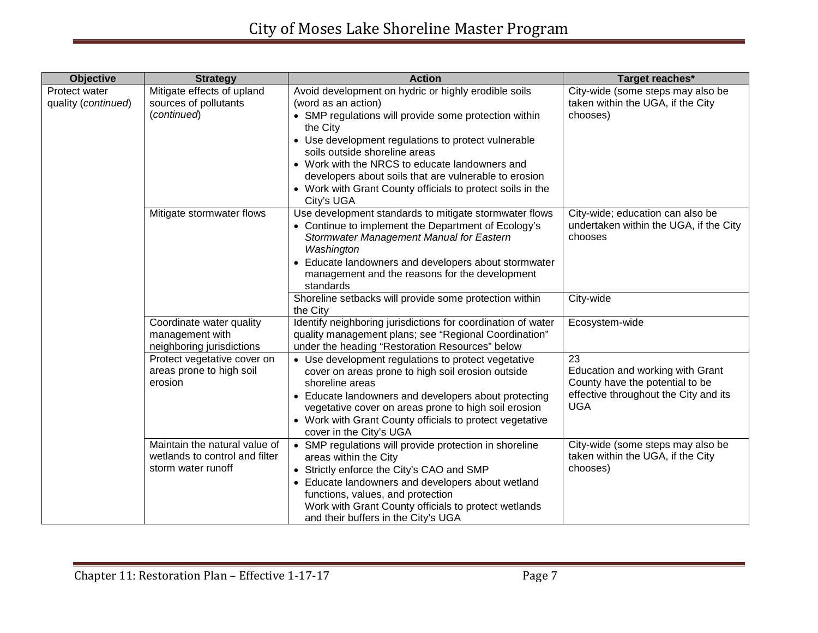| <b>Objective</b>                     | <b>Strategy</b>                                                                       | <b>Action</b>                                                                                                                                                                                                                                                                                                                                                                                                                   | Target reaches*                                                                                                                  |
|--------------------------------------|---------------------------------------------------------------------------------------|---------------------------------------------------------------------------------------------------------------------------------------------------------------------------------------------------------------------------------------------------------------------------------------------------------------------------------------------------------------------------------------------------------------------------------|----------------------------------------------------------------------------------------------------------------------------------|
| Protect water<br>quality (continued) | Mitigate effects of upland<br>sources of pollutants<br>(continued)                    | Avoid development on hydric or highly erodible soils<br>(word as an action)<br>• SMP regulations will provide some protection within<br>the City<br>• Use development regulations to protect vulnerable<br>soils outside shoreline areas<br>• Work with the NRCS to educate landowners and<br>developers about soils that are vulnerable to erosion<br>• Work with Grant County officials to protect soils in the<br>City's UGA | City-wide (some steps may also be<br>taken within the UGA, if the City<br>chooses)                                               |
|                                      | Mitigate stormwater flows                                                             | Use development standards to mitigate stormwater flows<br>• Continue to implement the Department of Ecology's<br>Stormwater Management Manual for Eastern<br>Washington<br>• Educate landowners and developers about stormwater<br>management and the reasons for the development<br>standards                                                                                                                                  | City-wide; education can also be<br>undertaken within the UGA, if the City<br>chooses                                            |
|                                      |                                                                                       | Shoreline setbacks will provide some protection within<br>the City                                                                                                                                                                                                                                                                                                                                                              | City-wide                                                                                                                        |
|                                      | Coordinate water quality<br>management with<br>neighboring jurisdictions              | Identify neighboring jurisdictions for coordination of water<br>quality management plans; see "Regional Coordination"<br>under the heading "Restoration Resources" below                                                                                                                                                                                                                                                        | Ecosystem-wide                                                                                                                   |
|                                      | Protect vegetative cover on<br>areas prone to high soil<br>erosion                    | • Use development regulations to protect vegetative<br>cover on areas prone to high soil erosion outside<br>shoreline areas<br>• Educate landowners and developers about protecting<br>vegetative cover on areas prone to high soil erosion<br>• Work with Grant County officials to protect vegetative<br>cover in the City's UGA                                                                                              | 23<br>Education and working with Grant<br>County have the potential to be<br>effective throughout the City and its<br><b>UGA</b> |
|                                      | Maintain the natural value of<br>wetlands to control and filter<br>storm water runoff | • SMP regulations will provide protection in shoreline<br>areas within the City<br>• Strictly enforce the City's CAO and SMP<br>• Educate landowners and developers about wetland<br>functions, values, and protection<br>Work with Grant County officials to protect wetlands<br>and their buffers in the City's UGA                                                                                                           | City-wide (some steps may also be<br>taken within the UGA, if the City<br>chooses)                                               |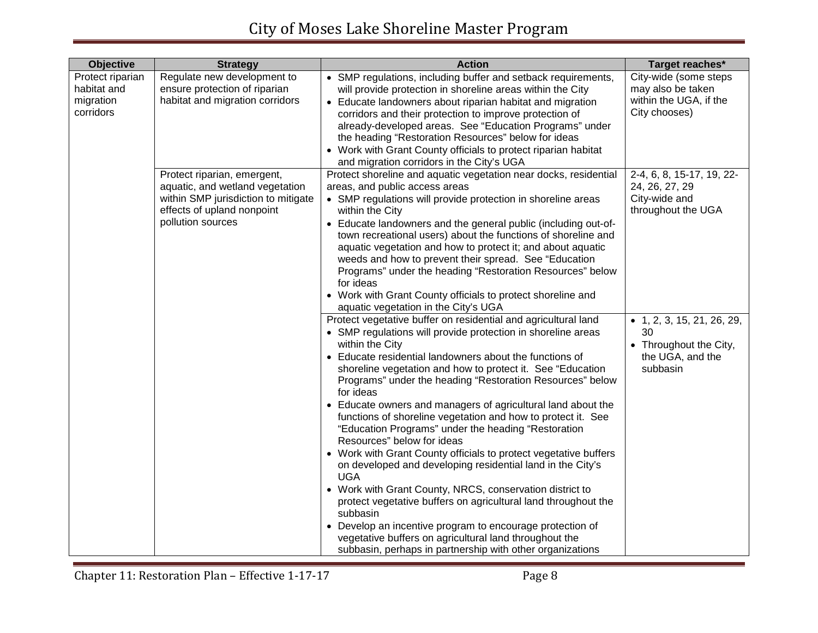| Objective                                                 | <b>Strategy</b>                                                                                                                                          | <b>Action</b>                                                                                                                                                                                                                                                                                                                                                                                                                                                                                                                                                                                                                                                                                                                                                                                                                                                                                                                                                                       | Target reaches*                                                                                                          |
|-----------------------------------------------------------|----------------------------------------------------------------------------------------------------------------------------------------------------------|-------------------------------------------------------------------------------------------------------------------------------------------------------------------------------------------------------------------------------------------------------------------------------------------------------------------------------------------------------------------------------------------------------------------------------------------------------------------------------------------------------------------------------------------------------------------------------------------------------------------------------------------------------------------------------------------------------------------------------------------------------------------------------------------------------------------------------------------------------------------------------------------------------------------------------------------------------------------------------------|--------------------------------------------------------------------------------------------------------------------------|
| Protect riparian<br>habitat and<br>migration<br>corridors | Regulate new development to<br>ensure protection of riparian<br>habitat and migration corridors                                                          | • SMP regulations, including buffer and setback requirements,<br>will provide protection in shoreline areas within the City<br>• Educate landowners about riparian habitat and migration<br>corridors and their protection to improve protection of<br>already-developed areas. See "Education Programs" under<br>the heading "Restoration Resources" below for ideas<br>• Work with Grant County officials to protect riparian habitat<br>and migration corridors in the City's UGA                                                                                                                                                                                                                                                                                                                                                                                                                                                                                                | City-wide (some steps<br>may also be taken<br>within the UGA, if the<br>City chooses)                                    |
|                                                           | Protect riparian, emergent,<br>aquatic, and wetland vegetation<br>within SMP jurisdiction to mitigate<br>effects of upland nonpoint<br>pollution sources | Protect shoreline and aquatic vegetation near docks, residential<br>areas, and public access areas<br>• SMP regulations will provide protection in shoreline areas<br>within the City<br>• Educate landowners and the general public (including out-of-<br>town recreational users) about the functions of shoreline and<br>aquatic vegetation and how to protect it; and about aquatic<br>weeds and how to prevent their spread. See "Education<br>Programs" under the heading "Restoration Resources" below<br>for ideas<br>• Work with Grant County officials to protect shoreline and<br>aquatic vegetation in the City's UGA<br>Protect vegetative buffer on residential and agricultural land                                                                                                                                                                                                                                                                                 | 2-4, 6, 8, 15-17, 19, 22-<br>24, 26, 27, 29<br>City-wide and<br>throughout the UGA<br>$\bullet$ 1, 2, 3, 15, 21, 26, 29, |
|                                                           |                                                                                                                                                          | • SMP regulations will provide protection in shoreline areas<br>within the City<br>• Educate residential landowners about the functions of<br>shoreline vegetation and how to protect it. See "Education<br>Programs" under the heading "Restoration Resources" below<br>for ideas<br>Educate owners and managers of agricultural land about the<br>functions of shoreline vegetation and how to protect it. See<br>"Education Programs" under the heading "Restoration<br>Resources" below for ideas<br>• Work with Grant County officials to protect vegetative buffers<br>on developed and developing residential land in the City's<br><b>UGA</b><br>• Work with Grant County, NRCS, conservation district to<br>protect vegetative buffers on agricultural land throughout the<br>subbasin<br>• Develop an incentive program to encourage protection of<br>vegetative buffers on agricultural land throughout the<br>subbasin, perhaps in partnership with other organizations | 30<br>• Throughout the City,<br>the UGA, and the<br>subbasin                                                             |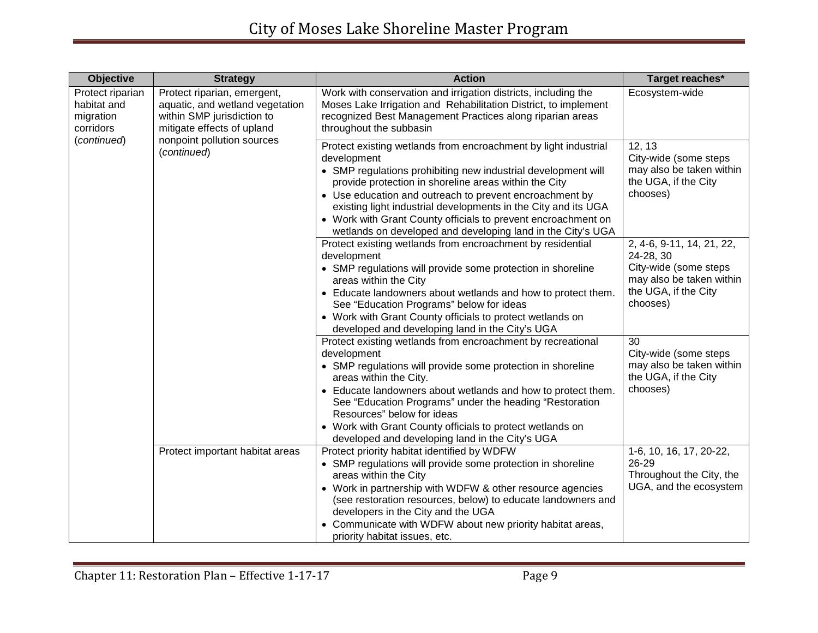| <b>Objective</b>                                                                                                                                                                                                                                    | <b>Strategy</b>                                                                                                                                                                                                                                                                                                                                                                                                                                                       | <b>Action</b>                                                                                                                                                                                                                                                                                                                                                                                                                                | Target reaches*                                                                                                                 |
|-----------------------------------------------------------------------------------------------------------------------------------------------------------------------------------------------------------------------------------------------------|-----------------------------------------------------------------------------------------------------------------------------------------------------------------------------------------------------------------------------------------------------------------------------------------------------------------------------------------------------------------------------------------------------------------------------------------------------------------------|----------------------------------------------------------------------------------------------------------------------------------------------------------------------------------------------------------------------------------------------------------------------------------------------------------------------------------------------------------------------------------------------------------------------------------------------|---------------------------------------------------------------------------------------------------------------------------------|
| Protect riparian<br>Protect riparian, emergent,<br>aquatic, and wetland vegetation<br>habitat and<br>within SMP jurisdiction to<br>migration<br>mitigate effects of upland<br>corridors<br>nonpoint pollution sources<br>(continued)<br>(continued) | Work with conservation and irrigation districts, including the<br>Moses Lake Irrigation and Rehabilitation District, to implement<br>recognized Best Management Practices along riparian areas<br>throughout the subbasin                                                                                                                                                                                                                                             | Ecosystem-wide                                                                                                                                                                                                                                                                                                                                                                                                                               |                                                                                                                                 |
|                                                                                                                                                                                                                                                     | Protect existing wetlands from encroachment by light industrial<br>development<br>• SMP regulations prohibiting new industrial development will<br>provide protection in shoreline areas within the City<br>• Use education and outreach to prevent encroachment by<br>existing light industrial developments in the City and its UGA<br>• Work with Grant County officials to prevent encroachment on<br>wetlands on developed and developing land in the City's UGA | 12, 13<br>City-wide (some steps<br>may also be taken within<br>the UGA, if the City<br>chooses)                                                                                                                                                                                                                                                                                                                                              |                                                                                                                                 |
|                                                                                                                                                                                                                                                     |                                                                                                                                                                                                                                                                                                                                                                                                                                                                       | Protect existing wetlands from encroachment by residential<br>development<br>• SMP regulations will provide some protection in shoreline<br>areas within the City<br>• Educate landowners about wetlands and how to protect them.<br>See "Education Programs" below for ideas<br>• Work with Grant County officials to protect wetlands on<br>developed and developing land in the City's UGA                                                | 2, 4-6, 9-11, 14, 21, 22,<br>24-28, 30<br>City-wide (some steps<br>may also be taken within<br>the UGA, if the City<br>chooses) |
|                                                                                                                                                                                                                                                     |                                                                                                                                                                                                                                                                                                                                                                                                                                                                       | Protect existing wetlands from encroachment by recreational<br>development<br>• SMP regulations will provide some protection in shoreline<br>areas within the City.<br>• Educate landowners about wetlands and how to protect them.<br>See "Education Programs" under the heading "Restoration<br>Resources" below for ideas<br>• Work with Grant County officials to protect wetlands on<br>developed and developing land in the City's UGA | 30<br>City-wide (some steps<br>may also be taken within<br>the UGA, if the City<br>chooses)                                     |
|                                                                                                                                                                                                                                                     | Protect important habitat areas                                                                                                                                                                                                                                                                                                                                                                                                                                       | Protect priority habitat identified by WDFW<br>• SMP regulations will provide some protection in shoreline<br>areas within the City<br>• Work in partnership with WDFW & other resource agencies<br>(see restoration resources, below) to educate landowners and<br>developers in the City and the UGA<br>• Communicate with WDFW about new priority habitat areas,<br>priority habitat issues, etc.                                         | 1-6, 10, 16, 17, 20-22,<br>26-29<br>Throughout the City, the<br>UGA, and the ecosystem                                          |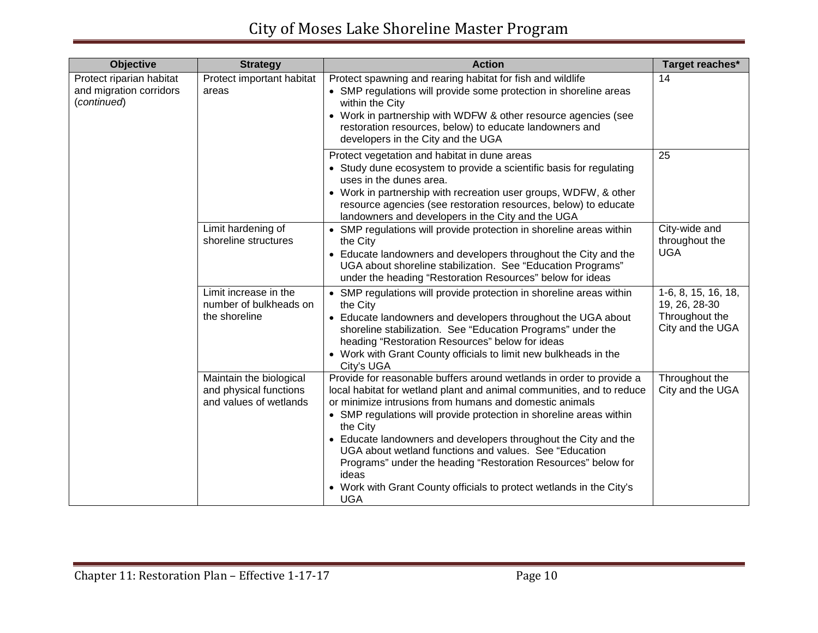| <b>Objective</b>                                                   | <b>Strategy</b>                                                             | <b>Action</b>                                                                                                                                                                                                                                                                                                                                                                                                                                                                                                                                                                             | Target reaches*                                                            |
|--------------------------------------------------------------------|-----------------------------------------------------------------------------|-------------------------------------------------------------------------------------------------------------------------------------------------------------------------------------------------------------------------------------------------------------------------------------------------------------------------------------------------------------------------------------------------------------------------------------------------------------------------------------------------------------------------------------------------------------------------------------------|----------------------------------------------------------------------------|
| Protect riparian habitat<br>and migration corridors<br>(continued) | Protect important habitat<br>areas                                          | Protect spawning and rearing habitat for fish and wildlife<br>• SMP regulations will provide some protection in shoreline areas<br>within the City<br>• Work in partnership with WDFW & other resource agencies (see<br>restoration resources, below) to educate landowners and<br>developers in the City and the UGA                                                                                                                                                                                                                                                                     | 14                                                                         |
|                                                                    |                                                                             | Protect vegetation and habitat in dune areas<br>• Study dune ecosystem to provide a scientific basis for regulating<br>uses in the dunes area.<br>• Work in partnership with recreation user groups, WDFW, & other<br>resource agencies (see restoration resources, below) to educate<br>landowners and developers in the City and the UGA                                                                                                                                                                                                                                                | 25                                                                         |
|                                                                    | Limit hardening of<br>shoreline structures                                  | • SMP regulations will provide protection in shoreline areas within<br>the City<br>• Educate landowners and developers throughout the City and the<br>UGA about shoreline stabilization. See "Education Programs"<br>under the heading "Restoration Resources" below for ideas                                                                                                                                                                                                                                                                                                            | City-wide and<br>throughout the<br><b>UGA</b>                              |
|                                                                    | Limit increase in the<br>number of bulkheads on<br>the shoreline            | • SMP regulations will provide protection in shoreline areas within<br>the City<br>• Educate landowners and developers throughout the UGA about<br>shoreline stabilization. See "Education Programs" under the<br>heading "Restoration Resources" below for ideas<br>• Work with Grant County officials to limit new bulkheads in the<br>City's UGA                                                                                                                                                                                                                                       | 1-6, 8, 15, 16, 18,<br>19, 26, 28-30<br>Throughout the<br>City and the UGA |
|                                                                    | Maintain the biological<br>and physical functions<br>and values of wetlands | Provide for reasonable buffers around wetlands in order to provide a<br>local habitat for wetland plant and animal communities, and to reduce<br>or minimize intrusions from humans and domestic animals<br>• SMP regulations will provide protection in shoreline areas within<br>the City<br>• Educate landowners and developers throughout the City and the<br>UGA about wetland functions and values. See "Education"<br>Programs" under the heading "Restoration Resources" below for<br>ideas<br>• Work with Grant County officials to protect wetlands in the City's<br><b>UGA</b> | Throughout the<br>City and the UGA                                         |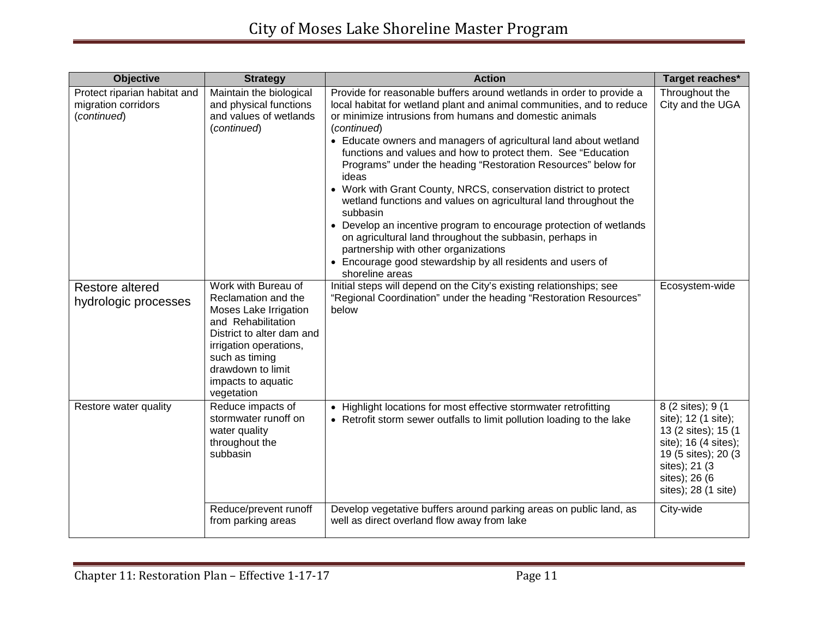| <b>Objective</b>                                                   | <b>Strategy</b>                                                                                                                                                                                                             | <b>Action</b>                                                                                                                                                                                                                                                                                                                                                                                                                                                                                                                                                                                                                                                                                                                                                                                                                                        | Target reaches*                                                                                                                                                           |
|--------------------------------------------------------------------|-----------------------------------------------------------------------------------------------------------------------------------------------------------------------------------------------------------------------------|------------------------------------------------------------------------------------------------------------------------------------------------------------------------------------------------------------------------------------------------------------------------------------------------------------------------------------------------------------------------------------------------------------------------------------------------------------------------------------------------------------------------------------------------------------------------------------------------------------------------------------------------------------------------------------------------------------------------------------------------------------------------------------------------------------------------------------------------------|---------------------------------------------------------------------------------------------------------------------------------------------------------------------------|
| Protect riparian habitat and<br>migration corridors<br>(continued) | Maintain the biological<br>and physical functions<br>and values of wetlands<br>(continued)                                                                                                                                  | Provide for reasonable buffers around wetlands in order to provide a<br>local habitat for wetland plant and animal communities, and to reduce<br>or minimize intrusions from humans and domestic animals<br>(continued)<br>• Educate owners and managers of agricultural land about wetland<br>functions and values and how to protect them. See "Education<br>Programs" under the heading "Restoration Resources" below for<br>ideas<br>• Work with Grant County, NRCS, conservation district to protect<br>wetland functions and values on agricultural land throughout the<br>subbasin<br>• Develop an incentive program to encourage protection of wetlands<br>on agricultural land throughout the subbasin, perhaps in<br>partnership with other organizations<br>• Encourage good stewardship by all residents and users of<br>shoreline areas | Throughout the<br>City and the UGA                                                                                                                                        |
| <b>Restore altered</b><br>hydrologic processes                     | Work with Bureau of<br>Reclamation and the<br>Moses Lake Irrigation<br>and Rehabilitation<br>District to alter dam and<br>irrigation operations,<br>such as timing<br>drawdown to limit<br>impacts to aquatic<br>vegetation | Initial steps will depend on the City's existing relationships; see<br>"Regional Coordination" under the heading "Restoration Resources"<br>below                                                                                                                                                                                                                                                                                                                                                                                                                                                                                                                                                                                                                                                                                                    | Ecosystem-wide                                                                                                                                                            |
| Restore water quality                                              | Reduce impacts of<br>stormwater runoff on<br>water quality<br>throughout the<br>subbasin                                                                                                                                    | • Highlight locations for most effective stormwater retrofitting<br>• Retrofit storm sewer outfalls to limit pollution loading to the lake                                                                                                                                                                                                                                                                                                                                                                                                                                                                                                                                                                                                                                                                                                           | 8 (2 sites); 9 (1<br>site); 12 (1 site);<br>13 (2 sites); 15 (1<br>site); 16 (4 sites);<br>19 (5 sites); 20 (3)<br>sites); 21 (3)<br>sites); 26 (6<br>sites); 28 (1 site) |
|                                                                    | Reduce/prevent runoff<br>from parking areas                                                                                                                                                                                 | Develop vegetative buffers around parking areas on public land, as<br>well as direct overland flow away from lake                                                                                                                                                                                                                                                                                                                                                                                                                                                                                                                                                                                                                                                                                                                                    | City-wide                                                                                                                                                                 |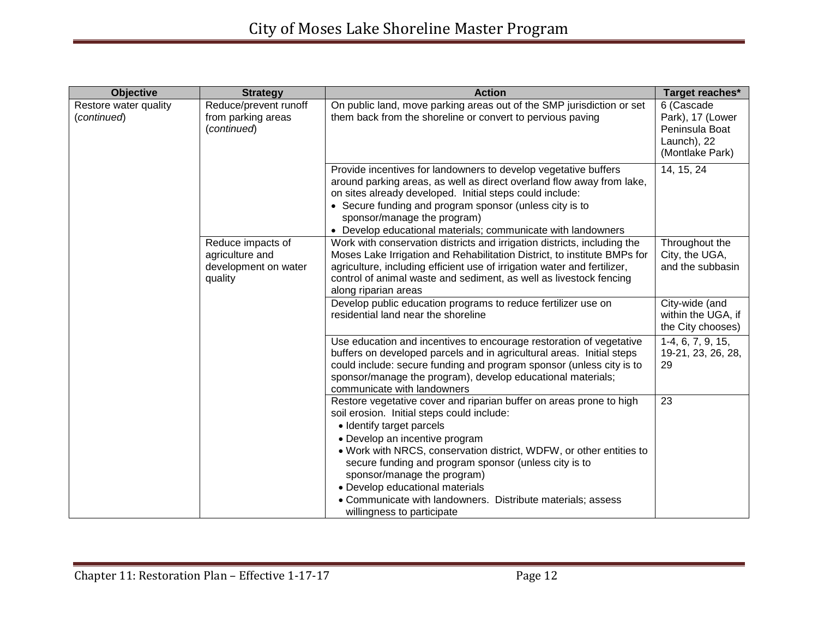| <b>Objective</b>                     | <b>Strategy</b>                                                         | <b>Action</b>                                                                                                                                                                                                                                                                                                                                                                                                                                                                   | Target reaches*                                                                    |
|--------------------------------------|-------------------------------------------------------------------------|---------------------------------------------------------------------------------------------------------------------------------------------------------------------------------------------------------------------------------------------------------------------------------------------------------------------------------------------------------------------------------------------------------------------------------------------------------------------------------|------------------------------------------------------------------------------------|
| Restore water quality<br>(continued) | Reduce/prevent runoff<br>from parking areas<br>(continued)              | On public land, move parking areas out of the SMP jurisdiction or set<br>them back from the shoreline or convert to pervious paving                                                                                                                                                                                                                                                                                                                                             | 6 (Cascade<br>Park), 17 (Lower<br>Peninsula Boat<br>Launch), 22<br>(Montlake Park) |
|                                      |                                                                         | Provide incentives for landowners to develop vegetative buffers<br>around parking areas, as well as direct overland flow away from lake,<br>on sites already developed. Initial steps could include:<br>• Secure funding and program sponsor (unless city is to<br>sponsor/manage the program)<br>• Develop educational materials; communicate with landowners                                                                                                                  | 14, 15, 24                                                                         |
|                                      | Reduce impacts of<br>agriculture and<br>development on water<br>quality | Work with conservation districts and irrigation districts, including the<br>Moses Lake Irrigation and Rehabilitation District, to institute BMPs for<br>agriculture, including efficient use of irrigation water and fertilizer,<br>control of animal waste and sediment, as well as livestock fencing<br>along riparian areas                                                                                                                                                  | Throughout the<br>City, the UGA,<br>and the subbasin                               |
|                                      |                                                                         | Develop public education programs to reduce fertilizer use on<br>residential land near the shoreline                                                                                                                                                                                                                                                                                                                                                                            | City-wide (and<br>within the UGA, if<br>the City chooses)                          |
|                                      |                                                                         | Use education and incentives to encourage restoration of vegetative<br>buffers on developed parcels and in agricultural areas. Initial steps<br>could include: secure funding and program sponsor (unless city is to<br>sponsor/manage the program), develop educational materials;<br>communicate with landowners                                                                                                                                                              | 1-4, 6, 7, 9, 15,<br>19-21, 23, 26, 28,<br>29                                      |
|                                      |                                                                         | Restore vegetative cover and riparian buffer on areas prone to high<br>soil erosion. Initial steps could include:<br>• Identify target parcels<br>• Develop an incentive program<br>. Work with NRCS, conservation district, WDFW, or other entities to<br>secure funding and program sponsor (unless city is to<br>sponsor/manage the program)<br>• Develop educational materials<br>• Communicate with landowners. Distribute materials; assess<br>willingness to participate | 23                                                                                 |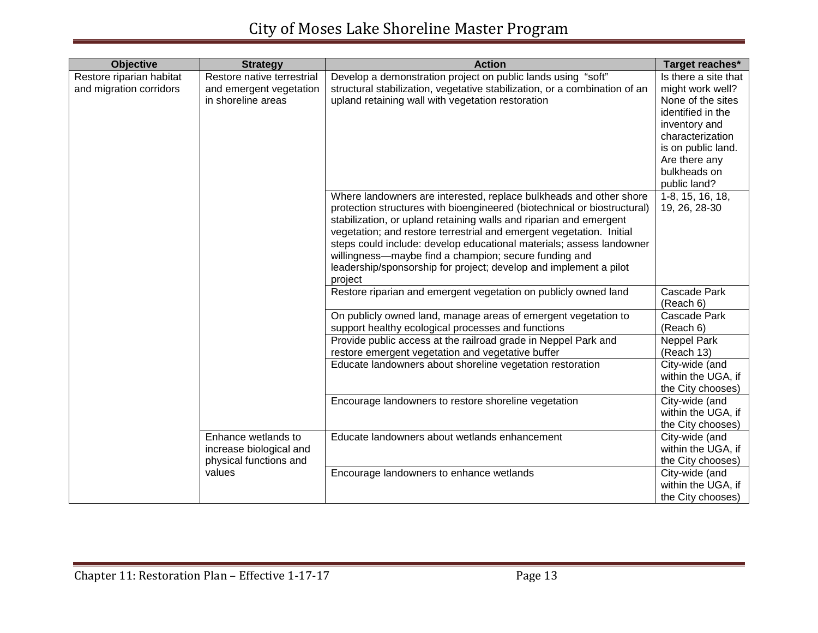| <b>Objective</b>         | <b>Strategy</b>            | <b>Action</b>                                                              | Target reaches*           |
|--------------------------|----------------------------|----------------------------------------------------------------------------|---------------------------|
| Restore riparian habitat | Restore native terrestrial | Develop a demonstration project on public lands using "soft"               | Is there a site that      |
| and migration corridors  | and emergent vegetation    | structural stabilization, vegetative stabilization, or a combination of an | might work well?          |
|                          | in shoreline areas         | upland retaining wall with vegetation restoration                          | None of the sites         |
|                          |                            |                                                                            | identified in the         |
|                          |                            |                                                                            | inventory and             |
|                          |                            |                                                                            | characterization          |
|                          |                            |                                                                            | is on public land.        |
|                          |                            |                                                                            | Are there any             |
|                          |                            |                                                                            | bulkheads on              |
|                          |                            |                                                                            | public land?              |
|                          |                            | Where landowners are interested, replace bulkheads and other shore         | 1-8, 15, 16, 18,          |
|                          |                            | protection structures with bioengineered (biotechnical or biostructural)   | 19, 26, 28-30             |
|                          |                            | stabilization, or upland retaining walls and riparian and emergent         |                           |
|                          |                            | vegetation; and restore terrestrial and emergent vegetation. Initial       |                           |
|                          |                            | steps could include: develop educational materials; assess landowner       |                           |
|                          |                            | willingness-maybe find a champion; secure funding and                      |                           |
|                          |                            | leadership/sponsorship for project; develop and implement a pilot          |                           |
|                          |                            | project                                                                    |                           |
|                          |                            | Restore riparian and emergent vegetation on publicly owned land            | Cascade Park<br>(Reach 6) |
|                          |                            | On publicly owned land, manage areas of emergent vegetation to             | Cascade Park              |
|                          |                            | support healthy ecological processes and functions                         | (Reach 6)                 |
|                          |                            | Provide public access at the railroad grade in Neppel Park and             | Neppel Park               |
|                          |                            | restore emergent vegetation and vegetative buffer                          | (Reach 13)                |
|                          |                            | Educate landowners about shoreline vegetation restoration                  | City-wide (and            |
|                          |                            |                                                                            | within the UGA, if        |
|                          |                            |                                                                            | the City chooses)         |
|                          |                            | Encourage landowners to restore shoreline vegetation                       | City-wide (and            |
|                          |                            |                                                                            | within the UGA, if        |
|                          |                            |                                                                            | the City chooses)         |
|                          | Enhance wetlands to        | Educate landowners about wetlands enhancement                              | City-wide (and            |
|                          | increase biological and    |                                                                            | within the UGA, if        |
|                          | physical functions and     |                                                                            | the City chooses)         |
|                          | values                     | Encourage landowners to enhance wetlands                                   | City-wide (and            |
|                          |                            |                                                                            | within the UGA, if        |
|                          |                            |                                                                            | the City chooses)         |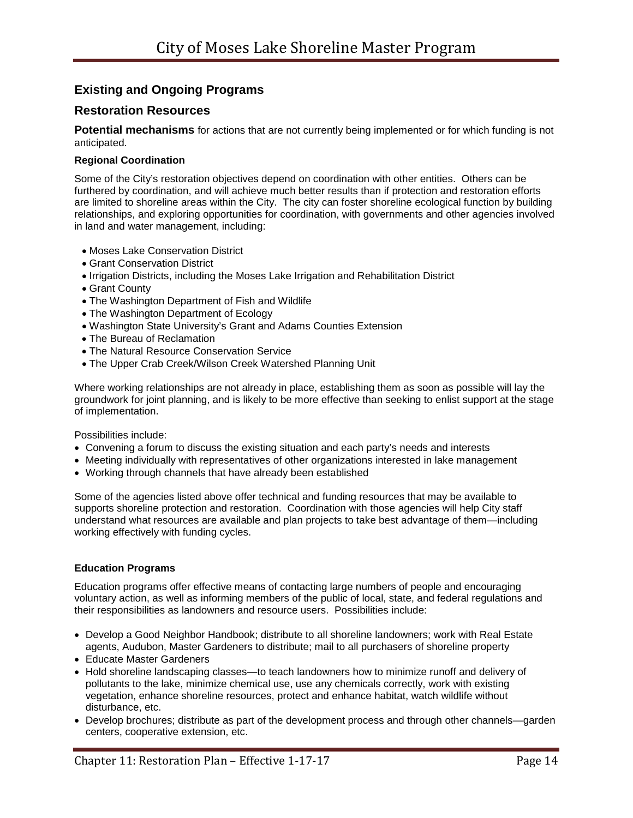## **Existing and Ongoing Programs**

## **Restoration Resources**

**Potential mechanisms** for actions that are not currently being implemented or for which funding is not anticipated.

#### **Regional Coordination**

Some of the City's restoration objectives depend on coordination with other entities. Others can be furthered by coordination, and will achieve much better results than if protection and restoration efforts are limited to shoreline areas within the City. The city can foster shoreline ecological function by building relationships, and exploring opportunities for coordination, with governments and other agencies involved in land and water management, including:

- Moses Lake Conservation District
- Grant Conservation District
- Irrigation Districts, including the Moses Lake Irrigation and Rehabilitation District
- Grant County
- The Washington Department of Fish and Wildlife
- The Washington Department of Ecology
- Washington State University's Grant and Adams Counties Extension
- The Bureau of Reclamation
- The Natural Resource Conservation Service
- The Upper Crab Creek/Wilson Creek Watershed Planning Unit

Where working relationships are not already in place, establishing them as soon as possible will lay the groundwork for joint planning, and is likely to be more effective than seeking to enlist support at the stage of implementation.

Possibilities include:

- Convening a forum to discuss the existing situation and each party's needs and interests
- Meeting individually with representatives of other organizations interested in lake management
- Working through channels that have already been established

Some of the agencies listed above offer technical and funding resources that may be available to supports shoreline protection and restoration. Coordination with those agencies will help City staff understand what resources are available and plan projects to take best advantage of them—including working effectively with funding cycles.

#### **Education Programs**

Education programs offer effective means of contacting large numbers of people and encouraging voluntary action, as well as informing members of the public of local, state, and federal regulations and their responsibilities as landowners and resource users. Possibilities include:

- Develop a Good Neighbor Handbook; distribute to all shoreline landowners; work with Real Estate agents, Audubon, Master Gardeners to distribute; mail to all purchasers of shoreline property
- Educate Master Gardeners
- Hold shoreline landscaping classes—to teach landowners how to minimize runoff and delivery of pollutants to the lake, minimize chemical use, use any chemicals correctly, work with existing vegetation, enhance shoreline resources, protect and enhance habitat, watch wildlife without disturbance, etc.
- Develop brochures; distribute as part of the development process and through other channels—garden centers, cooperative extension, etc.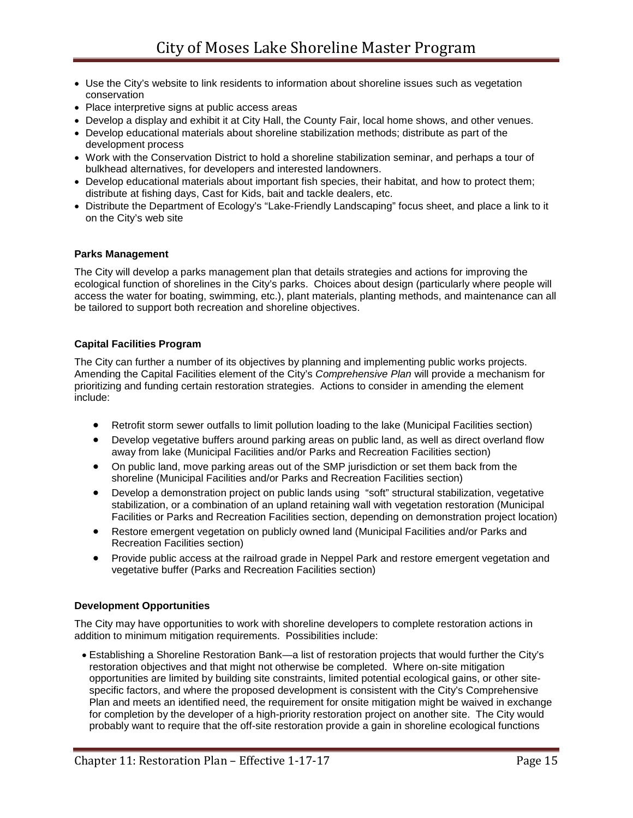- Use the City's website to link residents to information about shoreline issues such as vegetation conservation
- Place interpretive signs at public access areas
- Develop a display and exhibit it at City Hall, the County Fair, local home shows, and other venues.
- Develop educational materials about shoreline stabilization methods; distribute as part of the development process
- Work with the Conservation District to hold a shoreline stabilization seminar, and perhaps a tour of bulkhead alternatives, for developers and interested landowners.
- Develop educational materials about important fish species, their habitat, and how to protect them; distribute at fishing days, Cast for Kids, bait and tackle dealers, etc.
- Distribute the Department of Ecology's "Lake-Friendly Landscaping" focus sheet, and place a link to it on the City's web site

#### **Parks Management**

The City will develop a parks management plan that details strategies and actions for improving the ecological function of shorelines in the City's parks. Choices about design (particularly where people will access the water for boating, swimming, etc.), plant materials, planting methods, and maintenance can all be tailored to support both recreation and shoreline objectives.

#### **Capital Facilities Program**

The City can further a number of its objectives by planning and implementing public works projects. Amending the Capital Facilities element of the City's *Comprehensive Plan* will provide a mechanism for prioritizing and funding certain restoration strategies. Actions to consider in amending the element include:

- Retrofit storm sewer outfalls to limit pollution loading to the lake (Municipal Facilities section)
- Develop vegetative buffers around parking areas on public land, as well as direct overland flow away from lake (Municipal Facilities and/or Parks and Recreation Facilities section)
- On public land, move parking areas out of the SMP jurisdiction or set them back from the shoreline (Municipal Facilities and/or Parks and Recreation Facilities section)
- Develop a demonstration project on public lands using "soft" structural stabilization, vegetative stabilization, or a combination of an upland retaining wall with vegetation restoration (Municipal Facilities or Parks and Recreation Facilities section, depending on demonstration project location)
- Restore emergent vegetation on publicly owned land (Municipal Facilities and/or Parks and Recreation Facilities section)
- Provide public access at the railroad grade in Neppel Park and restore emergent vegetation and vegetative buffer (Parks and Recreation Facilities section)

#### **Development Opportunities**

The City may have opportunities to work with shoreline developers to complete restoration actions in addition to minimum mitigation requirements. Possibilities include:

• Establishing a Shoreline Restoration Bank—a list of restoration projects that would further the City's restoration objectives and that might not otherwise be completed. Where on-site mitigation opportunities are limited by building site constraints, limited potential ecological gains, or other sitespecific factors, and where the proposed development is consistent with the City's Comprehensive Plan and meets an identified need, the requirement for onsite mitigation might be waived in exchange for completion by the developer of a high-priority restoration project on another site. The City would probably want to require that the off-site restoration provide a gain in shoreline ecological functions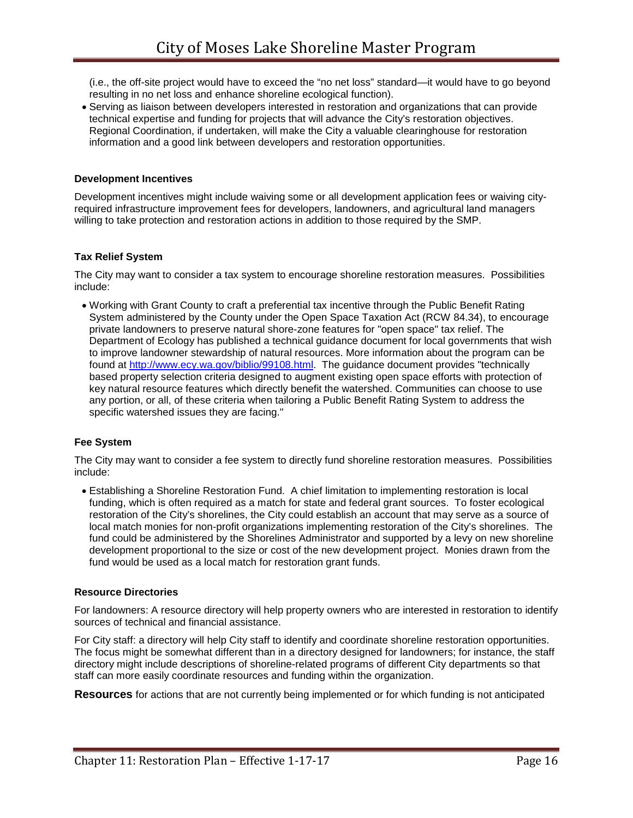(i.e., the off-site project would have to exceed the "no net loss" standard—it would have to go beyond resulting in no net loss and enhance shoreline ecological function).

• Serving as liaison between developers interested in restoration and organizations that can provide technical expertise and funding for projects that will advance the City's restoration objectives. Regional Coordination, if undertaken, will make the City a valuable clearinghouse for restoration information and a good link between developers and restoration opportunities.

#### **Development Incentives**

Development incentives might include waiving some or all development application fees or waiving cityrequired infrastructure improvement fees for developers, landowners, and agricultural land managers willing to take protection and restoration actions in addition to those required by the SMP.

#### **Tax Relief System**

The City may want to consider a tax system to encourage shoreline restoration measures. Possibilities include:

• Working with Grant County to craft a preferential tax incentive through the Public Benefit Rating System administered by the County under the Open Space Taxation Act (RCW 84.34), to encourage private landowners to preserve natural shore-zone features for "open space" tax relief. The Department of Ecology has published a technical guidance document for local governments that wish to improve landowner stewardship of natural resources. More information about the program can be found at [http://www.ecy.wa.gov/biblio/99108.html.](http://www.ecy.wa.gov/biblio/99108.html) The guidance document provides "technically based property selection criteria designed to augment existing open space efforts with protection of key natural resource features which directly benefit the watershed. Communities can choose to use any portion, or all, of these criteria when tailoring a Public Benefit Rating System to address the specific watershed issues they are facing."

#### **Fee System**

The City may want to consider a fee system to directly fund shoreline restoration measures. Possibilities include:

• Establishing a Shoreline Restoration Fund. A chief limitation to implementing restoration is local funding, which is often required as a match for state and federal grant sources. To foster ecological restoration of the City's shorelines, the City could establish an account that may serve as a source of local match monies for non-profit organizations implementing restoration of the City's shorelines. The fund could be administered by the Shorelines Administrator and supported by a levy on new shoreline development proportional to the size or cost of the new development project. Monies drawn from the fund would be used as a local match for restoration grant funds.

#### **Resource Directories**

For landowners: A resource directory will help property owners who are interested in restoration to identify sources of technical and financial assistance.

For City staff: a directory will help City staff to identify and coordinate shoreline restoration opportunities. The focus might be somewhat different than in a directory designed for landowners; for instance, the staff directory might include descriptions of shoreline-related programs of different City departments so that staff can more easily coordinate resources and funding within the organization.

**Resources** for actions that are not currently being implemented or for which funding is not anticipated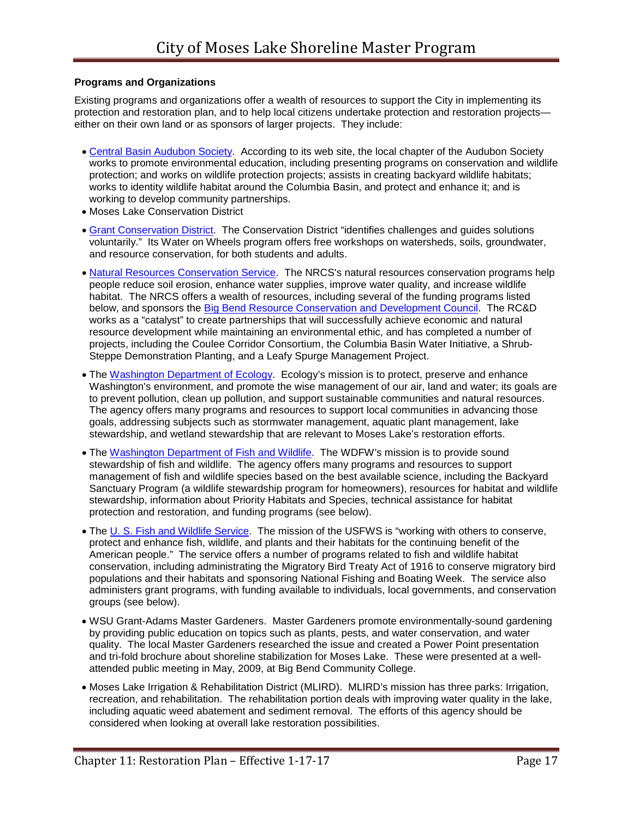#### **Programs and Organizations**

Existing programs and organizations offer a wealth of resources to support the City in implementing its protection and restoration plan, and to help local citizens undertake protection and restoration projects either on their own land or as sponsors of larger projects. They include:

- [Central Basin Audubon Society.](http://www.cbas.org/) According to its web site, the local chapter of the Audubon Society works to promote environmental education, including presenting programs on conservation and wildlife protection; and works on wildlife protection projects; assists in creating backyard wildlife habitats; works to identity wildlife habitat around the Columbia Basin, and protect and enhance it; and is working to develop community partnerships.
- Moses Lake Conservation District
- [Grant Conservation District.](http://cdp.wa.nacdnet.org/) The Conservation District "identifies challenges and guides solutions voluntarily." Its Water on Wheels program offers free workshops on watersheds, soils, groundwater, and resource conservation, for both students and adults.
- [Natural Resources Conservation Service.](http://www.wa.nrcs.usda.gov/) The NRCS's natural resources conservation programs help people reduce soil erosion, enhance water supplies, improve water quality, and increase wildlife habitat. The NRCS offers a wealth of resources, including several of the funding programs listed below, and sponsors the Big Bend [Resource Conservation and Development Council.](http://www.bbrcd.com/index.html) The RC&D works as a "catalyst" to create partnerships that will successfully achieve economic and natural resource development while maintaining an environmental ethic, and has completed a number of projects, including the Coulee Corridor Consortium, the Columbia Basin Water Initiative, a Shrub-Steppe Demonstration Planting, and a Leafy Spurge Management Project.
- The [Washington Department of Ecology.](http://www.ecy.wa.gov/ecyhome.html) Ecology's mission is to protect, preserve and enhance Washington's environment, and promote the wise management of our air, land and water; its goals are to prevent pollution, clean up pollution, and support sustainable communities and natural resources. The agency offers many programs and resources to support local communities in advancing those goals, addressing subjects such as stormwater management, aquatic plant management, lake stewardship, and wetland stewardship that are relevant to Moses Lake's restoration efforts.
- The [Washington Department of Fish and Wildlife.](http://wdfw.wa.gov/) The WDFW's mission is to provide sound stewardship of fish and wildlife. The agency offers many programs and resources to support management of fish and wildlife species based on the best available science, including the Backyard Sanctuary Program (a wildlife stewardship program for homeowners), resources for habitat and wildlife stewardship, information about Priority Habitats and Species, technical assistance for habitat protection and restoration, and funding programs (see below).
- The [U. S. Fish and Wildlife Service.](http://www.fws.gov/) The mission of the USFWS is "working with others to conserve, protect and enhance fish, wildlife, and plants and their habitats for the continuing benefit of the American people." The service offers a number of programs related to fish and wildlife habitat conservation, including administrating the Migratory Bird Treaty Act of 1916 to conserve migratory bird populations and their habitats and sponsoring National Fishing and Boating Week. The service also administers grant programs, with funding available to individuals, local governments, and conservation groups (see below).
- WSU Grant-Adams Master Gardeners. Master Gardeners promote environmentally-sound gardening by providing public education on topics such as plants, pests, and water conservation, and water quality. The local Master Gardeners researched the issue and created a Power Point presentation and tri-fold brochure about shoreline stabilization for Moses Lake. These were presented at a wellattended public meeting in May, 2009, at Big Bend Community College.
- Moses Lake Irrigation & Rehabilitation District (MLIRD).MLIRD's mission has three parks: Irrigation, recreation, and rehabilitation. The rehabilitation portion deals with improving water quality in the lake, including aquatic weed abatement and sediment removal. The efforts of this agency should be considered when looking at overall lake restoration possibilities.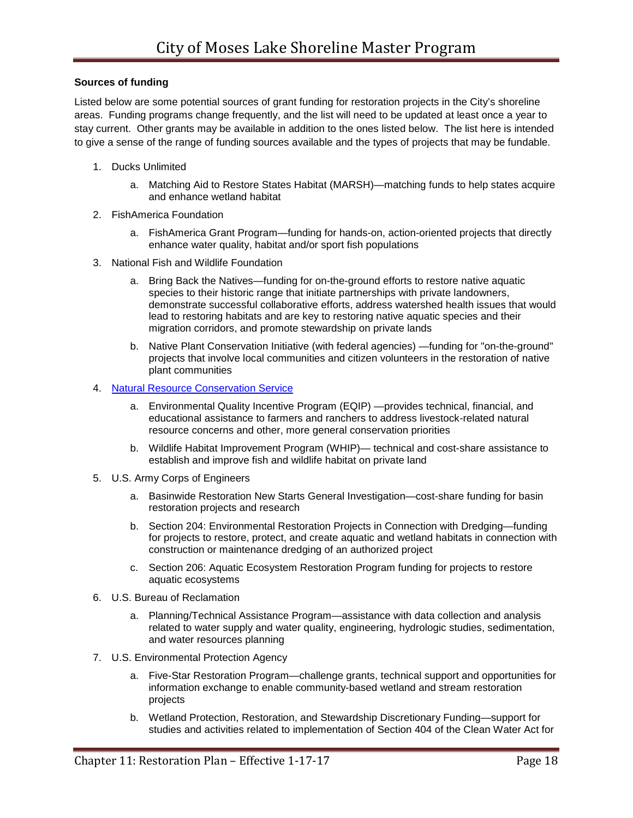#### **Sources of funding**

Listed below are some potential sources of grant funding for restoration projects in the City's shoreline areas. Funding programs change frequently, and the list will need to be updated at least once a year to stay current. Other grants may be available in addition to the ones listed below. The list here is intended to give a sense of the range of funding sources available and the types of projects that may be fundable.

- 1. Ducks Unlimited
	- a. Matching Aid to Restore States Habitat (MARSH)—matching funds to help states acquire and enhance wetland habitat
- 2. FishAmerica Foundation
	- a. FishAmerica Grant Program—funding for hands-on, action-oriented projects that directly enhance water quality, habitat and/or sport fish populations
- 3. National Fish and Wildlife Foundation
	- a. Bring Back the Natives—funding for on-the-ground efforts to restore native aquatic species to their historic range that initiate partnerships with private landowners, demonstrate successful collaborative efforts, address watershed health issues that would lead to restoring habitats and are key to restoring native aquatic species and their migration corridors, and promote stewardship on private lands
	- b. Native Plant Conservation Initiative (with federal agencies) —funding for "on-the-ground" projects that involve local communities and citizen volunteers in the restoration of native plant communities
- 4. [Natural Resource Conservation Service](http://www.wa.nrcs.usda.gov/)
	- a. Environmental Quality Incentive Program (EQIP) —provides technical, financial, and educational assistance to farmers and ranchers to address livestock-related natural resource concerns and other, more general conservation priorities
	- b. Wildlife Habitat Improvement Program (WHIP)— technical and cost-share assistance to establish and improve fish and wildlife habitat on private land
- 5. U.S. Army Corps of Engineers
	- a. Basinwide Restoration New Starts General Investigation—cost-share funding for basin restoration projects and research
	- b. Section 204: Environmental Restoration Projects in Connection with Dredging—funding for projects to restore, protect, and create aquatic and wetland habitats in connection with construction or maintenance dredging of an authorized project
	- c. Section 206: Aquatic Ecosystem Restoration Program funding for projects to restore aquatic ecosystems
- 6. U.S. Bureau of Reclamation
	- a. Planning/Technical Assistance Program—assistance with data collection and analysis related to water supply and water quality, engineering, hydrologic studies, sedimentation, and water resources planning
- 7. U.S. Environmental Protection Agency
	- a. Five-Star Restoration Program—challenge grants, technical support and opportunities for information exchange to enable community-based wetland and stream restoration projects
	- b. Wetland Protection, Restoration, and Stewardship Discretionary Funding—support for studies and activities related to implementation of Section 404 of the Clean Water Act for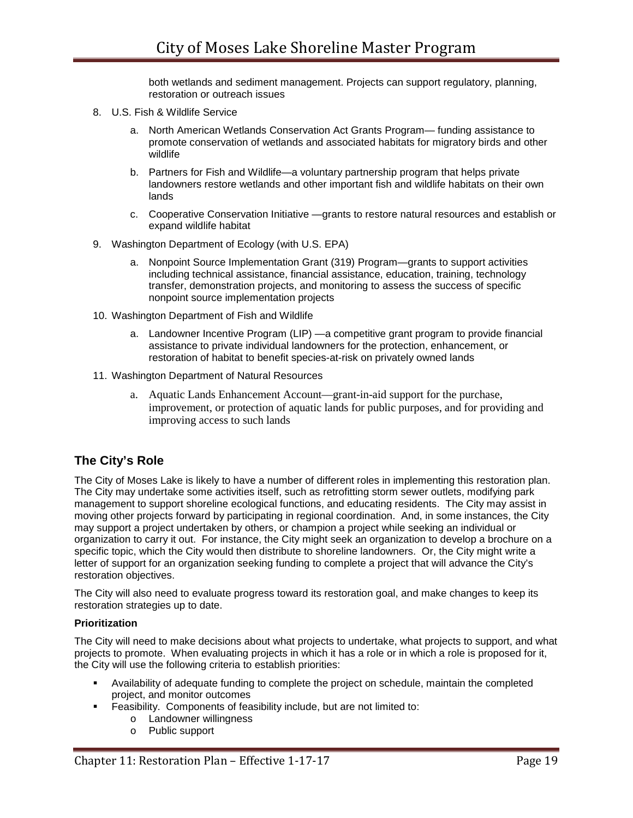both wetlands and sediment management. Projects can support regulatory, planning, restoration or outreach issues

- 8. U.S. Fish & Wildlife Service
	- a. North American Wetlands Conservation Act Grants Program— funding assistance to promote conservation of wetlands and associated habitats for migratory birds and other wildlife
	- b. Partners for Fish and Wildlife—a voluntary partnership program that helps private landowners restore wetlands and other important fish and wildlife habitats on their own lands
	- c. Cooperative Conservation Initiative —grants to restore natural resources and establish or expand wildlife habitat
- 9. Washington Department of Ecology (with U.S. EPA)
	- a. Nonpoint Source Implementation Grant (319) Program—grants to support activities including technical assistance, financial assistance, education, training, technology transfer, demonstration projects, and monitoring to assess the success of specific nonpoint source implementation projects
- 10. Washington Department of Fish and Wildlife
	- a. Landowner Incentive Program (LIP) —a competitive grant program to provide financial assistance to private individual landowners for the protection, enhancement, or restoration of habitat to benefit species-at-risk on privately owned lands
- 11. Washington Department of Natural Resources
	- a. Aquatic Lands Enhancement Account—grant-in-aid support for the purchase, improvement, or protection of aquatic lands for public purposes, and for providing and improving access to such lands

## **The City's Role**

The City of Moses Lake is likely to have a number of different roles in implementing this restoration plan. The City may undertake some activities itself, such as retrofitting storm sewer outlets, modifying park management to support shoreline ecological functions, and educating residents. The City may assist in moving other projects forward by participating in regional coordination. And, in some instances, the City may support a project undertaken by others, or champion a project while seeking an individual or organization to carry it out. For instance, the City might seek an organization to develop a brochure on a specific topic, which the City would then distribute to shoreline landowners. Or, the City might write a letter of support for an organization seeking funding to complete a project that will advance the City's restoration objectives.

The City will also need to evaluate progress toward its restoration goal, and make changes to keep its restoration strategies up to date.

#### **Prioritization**

The City will need to make decisions about what projects to undertake, what projects to support, and what projects to promote. When evaluating projects in which it has a role or in which a role is proposed for it, the City will use the following criteria to establish priorities:

- Availability of adequate funding to complete the project on schedule, maintain the completed project, and monitor outcomes
- Feasibility. Components of feasibility include, but are not limited to:
	- o Landowner willingness
	- o Public support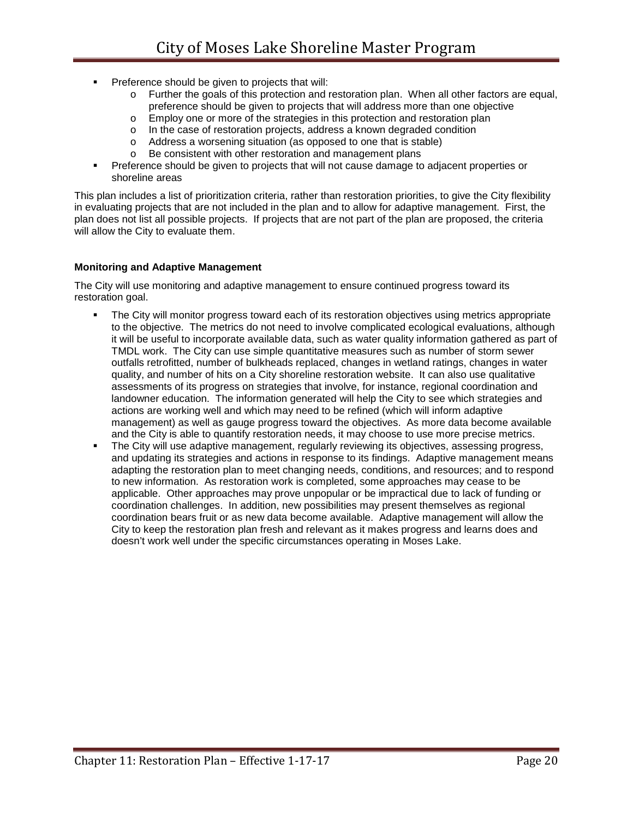- **Preference should be given to projects that will:** 
	- o Further the goals of this protection and restoration plan. When all other factors are equal, preference should be given to projects that will address more than one objective
	- o Employ one or more of the strategies in this protection and restoration plan
	- o In the case of restoration projects, address a known degraded condition
	- o Address a worsening situation (as opposed to one that is stable)
	- o Be consistent with other restoration and management plans
- Preference should be given to projects that will not cause damage to adjacent properties or shoreline areas

This plan includes a list of prioritization criteria, rather than restoration priorities, to give the City flexibility in evaluating projects that are not included in the plan and to allow for adaptive management. First, the plan does not list all possible projects. If projects that are not part of the plan are proposed, the criteria will allow the City to evaluate them.

#### **Monitoring and Adaptive Management**

The City will use monitoring and adaptive management to ensure continued progress toward its restoration goal.

- The City will monitor progress toward each of its restoration objectives using metrics appropriate to the objective. The metrics do not need to involve complicated ecological evaluations, although it will be useful to incorporate available data, such as water quality information gathered as part of TMDL work. The City can use simple quantitative measures such as number of storm sewer outfalls retrofitted, number of bulkheads replaced, changes in wetland ratings, changes in water quality, and number of hits on a City shoreline restoration website. It can also use qualitative assessments of its progress on strategies that involve, for instance, regional coordination and landowner education. The information generated will help the City to see which strategies and actions are working well and which may need to be refined (which will inform adaptive management) as well as gauge progress toward the objectives. As more data become available and the City is able to quantify restoration needs, it may choose to use more precise metrics.
- The City will use adaptive management, regularly reviewing its objectives, assessing progress, and updating its strategies and actions in response to its findings. Adaptive management means adapting the restoration plan to meet changing needs, conditions, and resources; and to respond to new information. As restoration work is completed, some approaches may cease to be applicable. Other approaches may prove unpopular or be impractical due to lack of funding or coordination challenges. In addition, new possibilities may present themselves as regional coordination bears fruit or as new data become available. Adaptive management will allow the City to keep the restoration plan fresh and relevant as it makes progress and learns does and doesn't work well under the specific circumstances operating in Moses Lake.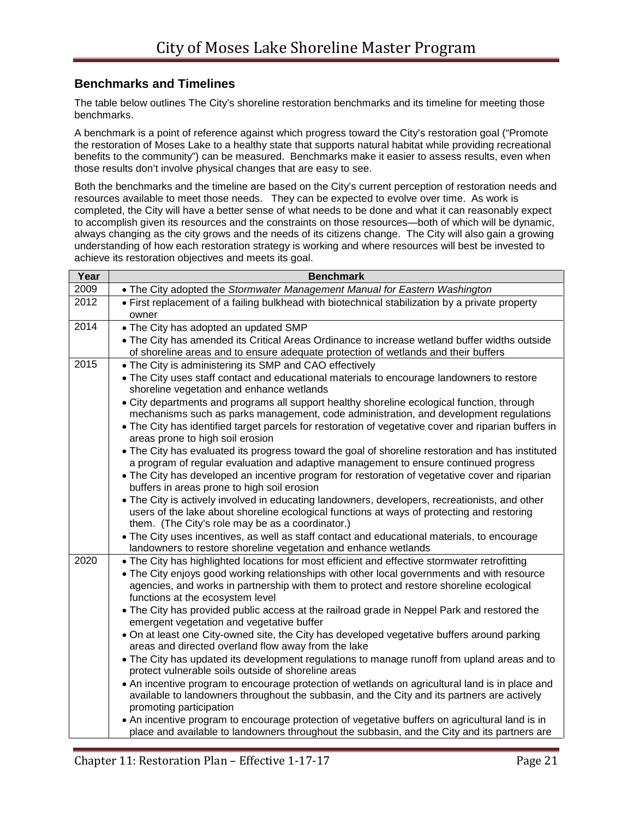## **Benchmarks and Timelines**

The table below outlines The City's shoreline restoration benchmarks and its timeline for meeting those benchmarks.

A benchmark is a point of reference against which progress toward the City's restoration goal ("Promote the restoration of Moses Lake to a healthy state that supports natural habitat while providing recreational benefits to the community") can be measured. Benchmarks make it easier to assess results, even when those results don't involve physical changes that are easy to see.

Both the benchmarks and the timeline are based on the City's current perception of restoration needs and resources available to meet those needs. They can be expected to evolve over time. As work is completed, the City will have a better sense of what needs to be done and what it can reasonably expect to accomplish given its resources and the constraints on those resources—both of which will be dynamic, always changing as the city grows and the needs of its citizens change. The City will also gain a growing understanding of how each restoration strategy is working and where resources will best be invested to achieve its restoration objectives and meets its goal.

| Year | <b>Benchmark</b>                                                                                                                                                                                                                                 |
|------|--------------------------------------------------------------------------------------------------------------------------------------------------------------------------------------------------------------------------------------------------|
| 2009 | • The City adopted the Stormwater Management Manual for Eastern Washington                                                                                                                                                                       |
| 2012 | • First replacement of a failing bulkhead with biotechnical stabilization by a private property<br>owner                                                                                                                                         |
| 2014 | . The City has adopted an updated SMP                                                                                                                                                                                                            |
|      | . The City has amended its Critical Areas Ordinance to increase wetland buffer widths outside<br>of shoreline areas and to ensure adequate protection of wetlands and their buffers                                                              |
| 2015 | • The City is administering its SMP and CAO effectively                                                                                                                                                                                          |
|      | • The City uses staff contact and educational materials to encourage landowners to restore<br>shoreline vegetation and enhance wetlands                                                                                                          |
|      | • City departments and programs all support healthy shoreline ecological function, through<br>mechanisms such as parks management, code administration, and development regulations                                                              |
|      | . The City has identified target parcels for restoration of vegetative cover and riparian buffers in<br>areas prone to high soil erosion                                                                                                         |
|      | . The City has evaluated its progress toward the goal of shoreline restoration and has instituted<br>a program of regular evaluation and adaptive management to ensure continued progress                                                        |
|      | • The City has developed an incentive program for restoration of vegetative cover and riparian<br>buffers in areas prone to high soil erosion                                                                                                    |
|      | . The City is actively involved in educating landowners, developers, recreationists, and other<br>users of the lake about shoreline ecological functions at ways of protecting and restoring<br>them. (The City's role may be as a coordinator.) |
|      | • The City uses incentives, as well as staff contact and educational materials, to encourage<br>landowners to restore shoreline vegetation and enhance wetlands                                                                                  |
| 2020 | . The City has highlighted locations for most efficient and effective stormwater retrofitting                                                                                                                                                    |
|      | • The City enjoys good working relationships with other local governments and with resource<br>agencies, and works in partnership with them to protect and restore shoreline ecological<br>functions at the ecosystem level                      |
|      | . The City has provided public access at the railroad grade in Neppel Park and restored the<br>emergent vegetation and vegetative buffer                                                                                                         |
|      | . On at least one City-owned site, the City has developed vegetative buffers around parking<br>areas and directed overland flow away from the lake                                                                                               |
|      | • The City has updated its development regulations to manage runoff from upland areas and to<br>protect vulnerable soils outside of shoreline areas                                                                                              |
|      | • An incentive program to encourage protection of wetlands on agricultural land is in place and<br>available to landowners throughout the subbasin, and the City and its partners are actively<br>promoting participation                        |
|      | • An incentive program to encourage protection of vegetative buffers on agricultural land is in<br>place and available to landowners throughout the subbasin, and the City and its partners are                                                  |